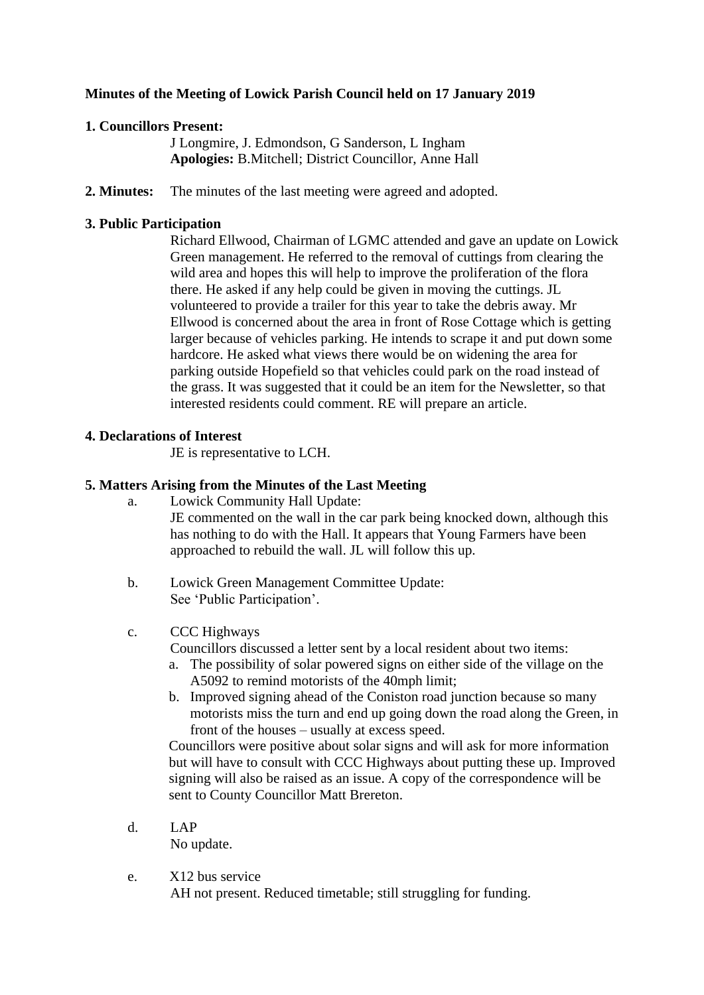# **Minutes of the Meeting of Lowick Parish Council held on 17 January 2019**

# **1. Councillors Present:**

J Longmire, J. Edmondson, G Sanderson, L Ingham **Apologies:** B.Mitchell; District Councillor, Anne Hall

**2. Minutes:** The minutes of the last meeting were agreed and adopted.

# **3. Public Participation**

Richard Ellwood, Chairman of LGMC attended and gave an update on Lowick Green management. He referred to the removal of cuttings from clearing the wild area and hopes this will help to improve the proliferation of the flora there. He asked if any help could be given in moving the cuttings. JL volunteered to provide a trailer for this year to take the debris away. Mr Ellwood is concerned about the area in front of Rose Cottage which is getting larger because of vehicles parking. He intends to scrape it and put down some hardcore. He asked what views there would be on widening the area for parking outside Hopefield so that vehicles could park on the road instead of the grass. It was suggested that it could be an item for the Newsletter, so that interested residents could comment. RE will prepare an article.

# **4. Declarations of Interest**

JE is representative to LCH.

# **5. Matters Arising from the Minutes of the Last Meeting**

- a. Lowick Community Hall Update: JE commented on the wall in the car park being knocked down, although this has nothing to do with the Hall. It appears that Young Farmers have been approached to rebuild the wall. JL will follow this up.
- b. Lowick Green Management Committee Update: See 'Public Participation'.

## c. CCC Highways

Councillors discussed a letter sent by a local resident about two items:

- a. The possibility of solar powered signs on either side of the village on the A5092 to remind motorists of the 40mph limit;
- b. Improved signing ahead of the Coniston road junction because so many motorists miss the turn and end up going down the road along the Green, in front of the houses – usually at excess speed.

Councillors were positive about solar signs and will ask for more information but will have to consult with CCC Highways about putting these up. Improved signing will also be raised as an issue. A copy of the correspondence will be sent to County Councillor Matt Brereton.

d. LAP

No update.

e. X12 bus service

AH not present. Reduced timetable; still struggling for funding.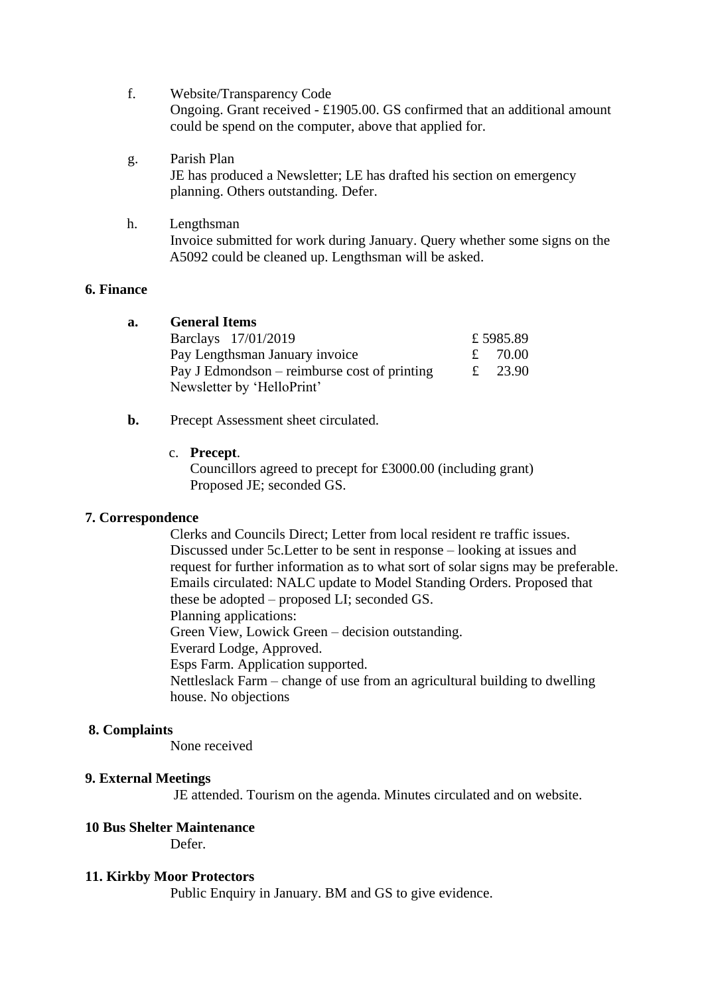- f. Website/Transparency Code Ongoing. Grant received - £1905.00. GS confirmed that an additional amount could be spend on the computer, above that applied for.
- g. Parish Plan JE has produced a Newsletter; LE has drafted his section on emergency planning. Others outstanding. Defer.
- h. Lengthsman Invoice submitted for work during January. Query whether some signs on the A5092 could be cleaned up. Lengthsman will be asked.

### **6. Finance**

| а. | <b>General Items</b>                         |           |
|----|----------------------------------------------|-----------|
|    | Barclays 17/01/2019                          | £5985.89  |
|    | Pay Lengthsman January invoice               | £ $70.00$ |
|    | Pay J Edmondson – reimburse cost of printing | £ 23.90   |
|    | Newsletter by 'HelloPrint'                   |           |

### **b.** Precept Assessment sheet circulated.

c. **Precept**.

Councillors agreed to precept for £3000.00 (including grant) Proposed JE; seconded GS.

## **7. Correspondence**

Clerks and Councils Direct; Letter from local resident re traffic issues. Discussed under 5c.Letter to be sent in response – looking at issues and request for further information as to what sort of solar signs may be preferable. Emails circulated: NALC update to Model Standing Orders. Proposed that these be adopted – proposed LI; seconded GS. Planning applications: Green View, Lowick Green – decision outstanding. Everard Lodge, Approved. Esps Farm. Application supported. Nettleslack Farm – change of use from an agricultural building to dwelling house. No objections

#### **8. Complaints**

None received

#### **9. External Meetings**

JE attended. Tourism on the agenda. Minutes circulated and on website.

## **10 Bus Shelter Maintenance**

Defer.

### **11. Kirkby Moor Protectors**

Public Enquiry in January. BM and GS to give evidence.